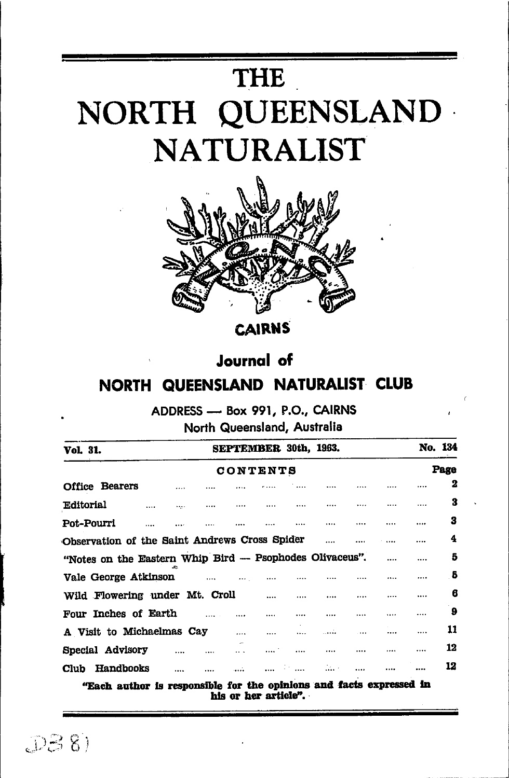# THE NORTH QUEENSLAND **NATURALIST**



**CAIRNS** 

# **Journal** of

# NORTH QUEENSLAND NATURALIST CLUB

ADDRESS - Box 991, P.O., CAIRNS North Queensland, Australia

| <b>Vol. 31.</b>                                                                                                                                                                                                                |          |  |  | SEPTEMBER 30th, 1963. |          |               |          |  |  | No. 134 |  |  |
|--------------------------------------------------------------------------------------------------------------------------------------------------------------------------------------------------------------------------------|----------|--|--|-----------------------|----------|---------------|----------|--|--|---------|--|--|
| CONTENTS                                                                                                                                                                                                                       |          |  |  |                       |          |               |          |  |  | Page    |  |  |
| <b>Office Bearers</b>                                                                                                                                                                                                          |          |  |  |                       |          |               |          |  |  | 2       |  |  |
| <b>Editorial</b>                                                                                                                                                                                                               | $\cdots$ |  |  |                       |          |               |          |  |  | 3       |  |  |
| Pot-Pourri                                                                                                                                                                                                                     |          |  |  |                       |          |               |          |  |  | з       |  |  |
| Observation of the Saint Andrews Cross Spider                                                                                                                                                                                  |          |  |  |                       |          | $\cdots$      |          |  |  | 4       |  |  |
| "Notes on the Eastern Whip Bird -- Psophodes Olivaceus".                                                                                                                                                                       |          |  |  |                       |          |               |          |  |  | 5       |  |  |
| Vale George Atkinson and the Contract of the Contract of the Contract of the Contract of the Contract of the Contract of the Contract of the Contract of the Contract of the Contract of the Contract of the Contract of the C |          |  |  | $\cdots$              |          |               |          |  |  | -5      |  |  |
| Wild Flowering under Mt. Croll                                                                                                                                                                                                 |          |  |  |                       | $\cdots$ |               |          |  |  | 6       |  |  |
| Four Inches of Earth                                                                                                                                                                                                           |          |  |  |                       |          |               | $\cdots$ |  |  | ؘ9      |  |  |
| A Visit to Michaelmas Cay                                                                                                                                                                                                      |          |  |  |                       |          |               |          |  |  | 11      |  |  |
| Special Advisory                                                                                                                                                                                                               |          |  |  |                       |          |               |          |  |  | 12      |  |  |
| Club Handbooks                                                                                                                                                                                                                 | $\cdots$ |  |  |                       |          | $\mathcal{L}$ |          |  |  | 12      |  |  |
| (11. ), anthon is composible for the enjoings and facts expressed in                                                                                                                                                           |          |  |  |                       |          |               |          |  |  |         |  |  |

his or her article".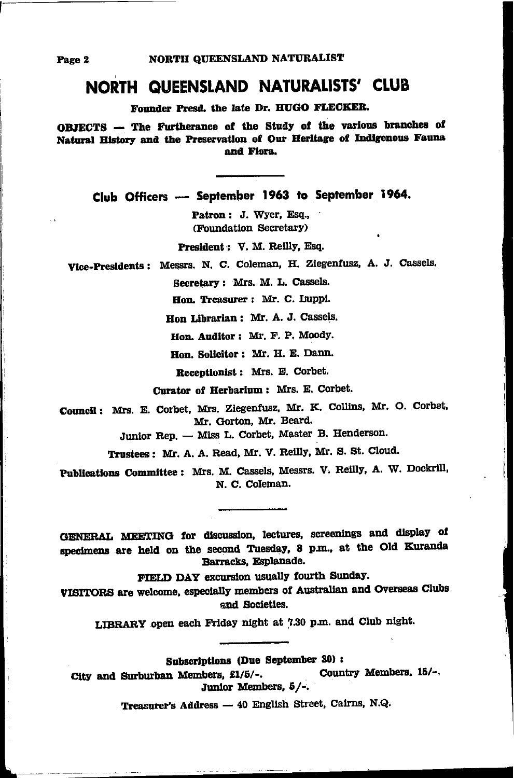## NORTH QUEENSLAND NATURALISTS' CLUB

Founder Presd. the late Dr. HUGO FLECKER.

OBJECTS - The Furtherance of the Study of the various branches of Natural History and the Preservation of Our Heritage of Indigenous Fauna and Flora.

Club Officers - September 1963 to September 1964.

Patron: J. Wyer, Esq., (Foundation Secretary)

President: V. M. Reilly, Esq.

Vice-Presidents: Messrs. N. C. Coleman, H. Ziegenfusz, A. J. Cassels.

Secretary: Mrs. M. L. Cassels.

Hon. Treasurer: Mr. C. Luppi.

Hon Librarian: Mr. A. J. Cassels.

Hon. Auditor: Mr. F. P. Moody.

Hon. Solicitor: Mr. H. E. Dann.

Receptionist: Mrs. E. Corbet.

Curator of Herbarium: Mrs. E. Corbet.

Council: Mrs. E. Corbet, Mrs. Ziegenfusz, Mr. K. Collins, Mr. O. Corbet. Mr. Gorton, Mr. Beard.

Junior Rep. - Miss L. Corbet, Master B. Henderson.

Trustees: Mr. A. A. Read, Mr. V. Reilly, Mr. S. St. Cloud.

Publications Committee: Mrs. M. Cassels, Messrs. V. Reilly, A. W. Dockrill, N. C. Coleman.

GENERAL MEETING for discussion, lectures, screenings and display of specimens are held on the second Tuesday, 8 p.m., at the Old Kuranda Barracks, Esplanade.

FIELD DAY excursion usually fourth Sunday.

VISITORS are welcome, especially members of Australian and Overseas Clubs and Societies.

LIBRARY open each Friday night at 7.30 p.m. and Club night.

Subscriptions (Due September 30) :

Country Members. 15/-. City and Surburban Members, £1/5/-. Junior Members, 5/-.

Treasurer's Address - 40 English Street, Cairns, N.Q.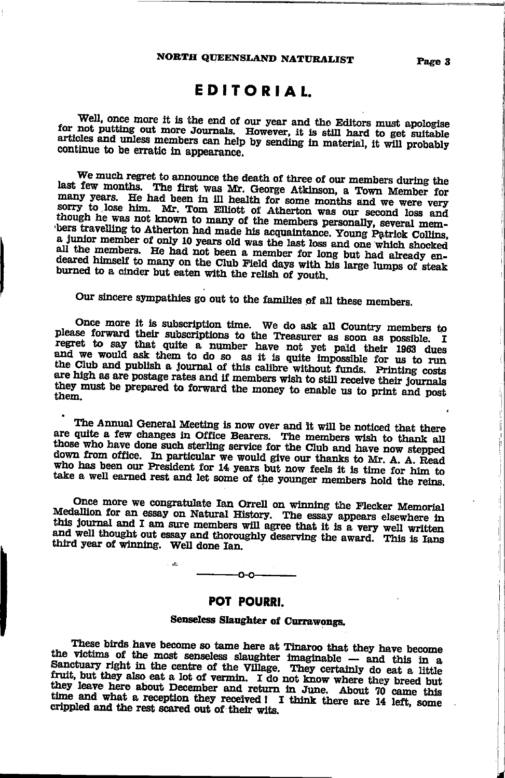### **EDITORIAL**

Well, once more it is the end of our year and the Editors must apologise for not putting out more Journals. However, it is still hard to get suitable articles and unless members can help by sending in material, it will probably continue to be erratic in appearance.

We much regret to announce the death of three of our members during the last few months. The first was Mr. George Atkinson, a Town Member for many years. He had been in ill health for some months and we were very sorry to lose him. Mr. Tom Elliott of Atherton was our second loss and though he was not known to many of the members personally, several members travelling to Atherton had made his acquaintance. Young Patrick Collins, a junior member of only 10 years old was the last loss and one which shocked all the members. He had not been a member for long but had already endeared himself to many on the Club Field days with his large lumps of steak burned to a cinder but eaten with the relish of youth.

Our sincere sympathies go out to the families of all these members.

Once more it is subscription time. We do ask all Country members to please forward their subscriptions to the Treasurer as soon as possible. I regret to say that quite a number have not yet paid their 1963 dues and we would ask them to do so as it is quite impossible for us to run the Club and publish a journal of this calibre without funds. Printing costs are high as are postage rates and if members wish to still receive their journals they must be prepared to forward the money to enable us to print and post them.

The Annual General Meeting is now over and it will be noticed that there are quite a few changes in Office Bearers. The members wish to thank all those who have done such sterling service for the Club and have now stepped down from office. In particular we would give our thanks to Mr. A. A. Read who has been our President for 14 years but now feels it is time for him to take a well earned rest and let some of the younger members hold the reins.

Once more we congratulate Ian Orrell on winning the Flecker Memorial Medallion for an essay on Natural History. The essay appears elsewhere in this journal and I am sure members will agree that it is a very well written and well thought out essay and thoroughly deserving the award. This is Ians third year of winning. Well done Ian.



 $\mathcal{L}$ 

#### POT POURRI.

#### Senseless Slaughter of Currawongs.

These birds have become so tame here at Tinaroo that they have become the victims of the most senseless slaughter imaginable - and this in a Sanctuary right in the centre of the Village. They certainly do eat a little fruit, but they also eat a lot of vermin. I do not know where they breed but they leave here about December and return in June. About 70 came this time and what a reception they received! I think there are 14 left, some crippled and the rest scared out of their wits.

ł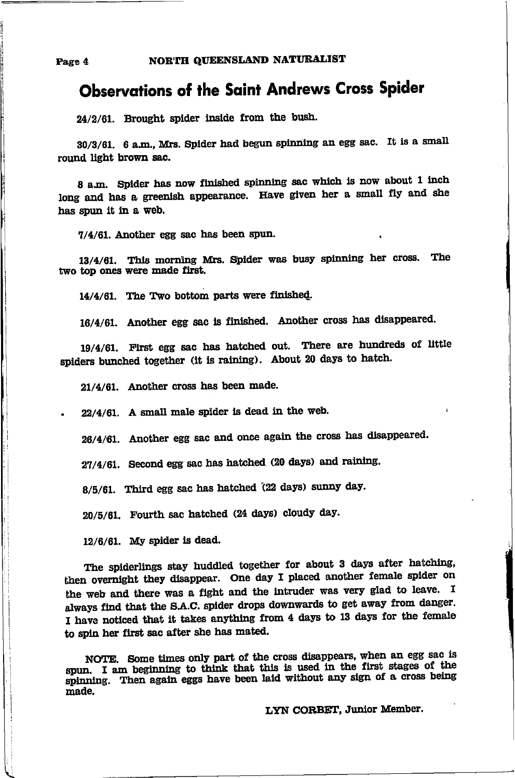## **Observations of the Saint Andrews Cross Spider**

24/2/61. Brought spider inside from the bush.

30/3/61. 6 a.m., Mrs. Spider had begun spinning an egg sac. It is a small round light brown sac.

8 a.m. Spider has now finished spinning sac which is now about 1 inch long and has a greenish appearance. Have given her a small fly and she has spun it in a web.

7/4/61. Another egg sac has been spun.

13/4/61. This morning Mrs. Spider was busy spinning her cross. The two top ones were made first.

14/4/61. The Two bottom parts were finished.

16/4/61. Another egg sac is finished. Another cross has disappeared.

19/4/61. First egg sac has hatched out. There are hundreds of little spiders bunched together (it is raining). About 20 days to hatch.

21/4/61. Another cross has been made.

 $22/4/61$ . A small male spider is dead in the web.

26/4/61. Another egg sac and once again the cross has disappeared.

27/4/61. Second egg sac has hatched (20 days) and raining.

8/5/61. Third egg sac has hatched (22 days) sunny day.

20/5/61. Fourth sac hatched (24 days) cloudy day.

 $12/6/61$ . My spider is dead.

The spiderlings stay huddled together for about 3 days after hatching, then overnight they disappear. One day I placed another female spider on the web and there was a fight and the intruder was very glad to leave. I always find that the S.A.C. spider drops downwards to get away from danger. I have noticed that it takes anything from 4 days to 13 days for the female to spin her first sac after she has mated.

NOTE. Some times only part of the cross disappears, when an egg sac is spun. I am beginning to think that this is used in the first stages of the spinning. Then again eggs have been laid without any sign of a cross being made.

LYN CORBET, Junior Member.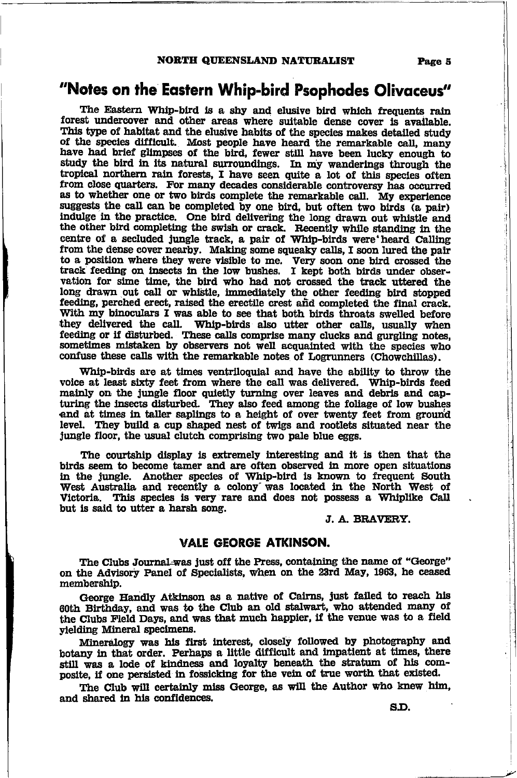#### NORTH QUEENSLAND NATURALIST

### "Notes on the Eastern Whip-bird Psophodes Olivaceus"

The Eastern Whip-bird is a shy and elusive bird which frequents rain forest undercover and other areas where suitable dense cover is available. This type of habitat and the elusive habits of the species makes detailed study of the species difficult. Most people have heard the remarkable call, many have had brief glimpses of the bird, fewer still have been lucky enough to study the bird in its natural surroundings. In my wanderings through the tropical northern rain forests, I have seen quite a lot of this species often from close quarters. For many decades considerable controversy has occurred as to whether one or two birds complete the remarkable call. My experience suggests the call can be completed by one bird, but often two birds (a pair) indulge in the practice. One bird delivering the long drawn out whistle and the other bird completing the swish or crack. Recently while standing in the centre of a secluded jungle track, a pair of Whip-birds were heard Calling from the dense cover nearby. Making some squeaky calls, I soon lured the pair to a position where they were visible to me. Very soon one bird crossed the track feeding on insects in the low bushes. I kept both birds under observation for sime time, the bird who had not crossed the track uttered the long drawn out call or whistle, immediately the other feeding bird stopped feeding, perched erect, raised the erectile crest and completed the final crack. With my binoculars I was able to see that both birds throats swelled before they delivered the call. Whip-birds also utter other calls, usually when feeding or if disturbed. These calls comprise many clucks and gurgling notes, sometimes mistaken by observers not well acquainted with the species who confuse these calls with the remarkable notes of Logrunners (Chowchillas).

Whip-birds are at times ventriloquial and have the ability to throw the voice at least sixty feet from where the call was delivered. Whip-birds feed mainly on the jungle floor quietly turning over leaves and debris and capturing the insects disturbed. They also feed among the foliage of low bushes and at times in taller saplings to a height of over twenty feet from ground level. They build a cup shaped nest of twigs and rootlets situated near the jungle floor, the usual clutch comprising two pale blue eggs.

The courtship display is extremely interesting and it is then that the birds seem to become tamer and are often observed in more open situations in the jungle. Another species of Whip-bird is known to frequent South West Australia and recently a colony was located in the North West of Victoria. This species is very rare and does not possess a Whiplike Call but is said to utter a harsh song.

#### J. A. BRAVERY.

#### **VALE GEORGE ATKINSON.**

The Clubs Journal was just off the Press, containing the name of "George" on the Advisory Panel of Specialists, when on the 23rd May, 1963, he ceased membership.

George Handly Atkinson as a native of Cairns, just failed to reach his 60th Birthday, and was to the Club an old stalwart, who attended many of the Clubs Field Days, and was that much happier, if the venue was to a field vielding Mineral specimens.

Mineralogy was his first interest, closely followed by photography and botany in that order. Perhaps a little difficult and impatient at times, there still was a lode of kindness and loyalty beneath the stratum of his composite, if one persisted in fossicking for the vein of true worth that existed.

The Club will certainly miss George, as will the Author who knew him, and shared in his confidences.

Page 5

S.D.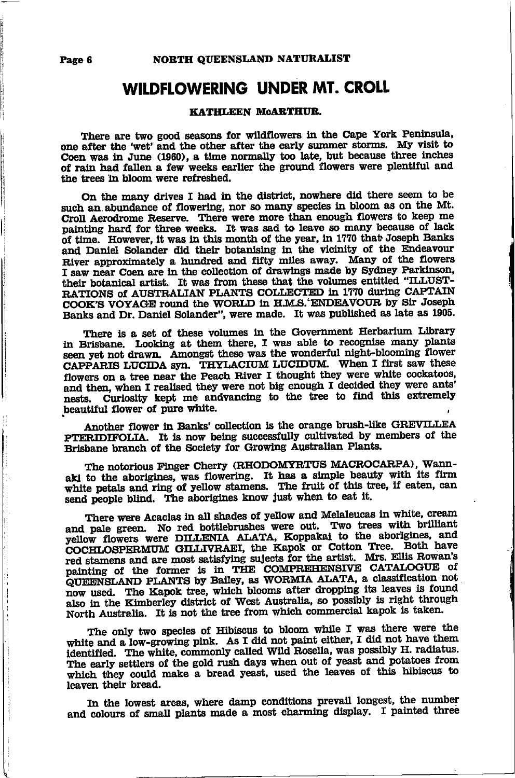### WILDFLOWERING UNDER MT. CROLL

#### KATHLEEN MCARTHUR.

There are two good seasons for wildflowers in the Cape York Peninsula, one after the 'wet' and the other after the early summer storms. My visit to Coen was in June (1960), a time normally too late, but because three inches of rain had fallen a few weeks earlier the ground flowers were plentiful and the trees in bloom were refreshed.

On the many drives I had in the district, nowhere did there seem to be such an abundance of flowering, nor so many species in bloom as on the Mt. Croll Aerodrome Reserve. There were more than enough flowers to keep me painting hard for three weeks. It was sad to leave so many because of lack of time. However, it was in this month of the year, in 1770 that Joseph Banks and Daniel Solander did their botanising in the vicinity of the Endeavour River approximately a hundred and fifty miles away. Many of the flowers I saw near Coen are in the collection of drawings made by Sydney Parkinson, their botanical artist. It was from these that the volumes entitled "ILLUST-RATIONS of AUSTRALIAN PLANTS COLLECTED in 1770 during CAPTAIN COOK'S VOYAGE round the WORLD in H.M.S. ENDEAVOUR by Sir Joseph Banks and Dr. Daniel Solander", were made. It was published as late as 1905.

There is a set of these volumes in the Government Herbarium Library in Brisbane. Looking at them there, I was able to recognise many plants seen yet not drawn. Amongst these was the wonderful night-blooming flower CAPPARIS LUCIDA syn. THYLACIUM LUCIDUM. When I first saw these flowers on a tree near the Peach River I thought they were white cockatoos, and then, when I realised they were not big enough I decided they were ants' nests. Curiosity kept me andvancing to the tree to find this extremely beautiful flower of pure white.

Another flower in Banks' collection is the orange brush-like GREVILLEA PTERIDIFOLIA. It is now being successfully cultivated by members of the Brisbane branch of the Society for Growing Australian Plants.

The notorious Finger Cherry (RHODOMYRTUS MACROCARPA), Wannaki to the aborigines, was flowering. It has a simple beauty with its firm white petals and ring of yellow stamens. The fruit of this tree, if eaten, can send people blind. The aborigines know just when to eat it.

There were Acacias in all shades of yellow and Melaleucas in white, cream and pale green. No red bottlebrushes were out. Two trees with brilliant yellow flowers were DILLENIA ALATA, Koppakai to the aborigines, and COCHLOSPERMUM GILLIVRAEI, the Kapok or Cotton Tree. Both have red stamens and are most satisfying sujects for the artist. Mrs. Ellis Rowan's painting of the former is in THE COMPREHENSIVE CATALOGUE of QUEENSLAND PLANTS by Bailey, as WORMIA ALATA, a classification not now used. The Kapok tree, which blooms after dropping its leaves is found also in the Kimberley district of West Australia, so possibly is right through North Australia. It is not the tree from which commercial kapok is taken.

The only two species of Hibiscus to bloom while I was there were the white and a low-growing pink. As I did not paint either, I did not have them identified. The white, commonly called Wild Rosella, was possibly H. radiatus. The early settlers of the gold rush days when out of yeast and potatoes from which they could make a bread yeast, used the leaves of this hibiscus to leaven their bread.

In the lowest areas, where damp conditions prevail longest, the number and colours of small plants made a most charming display. I painted three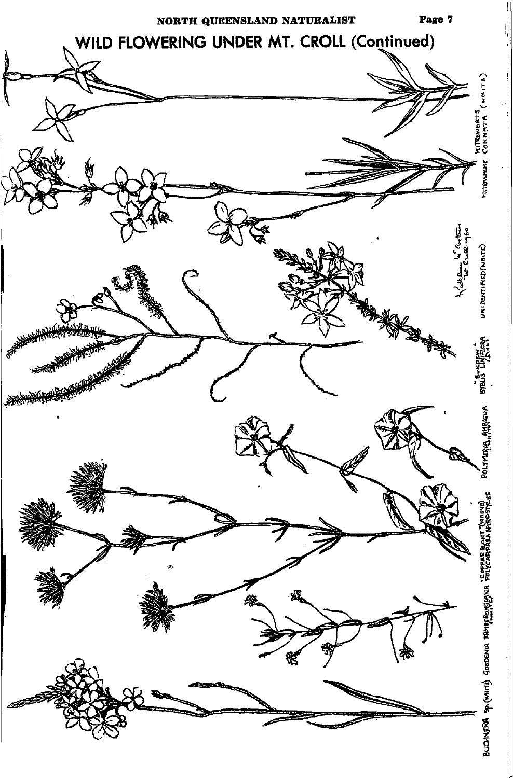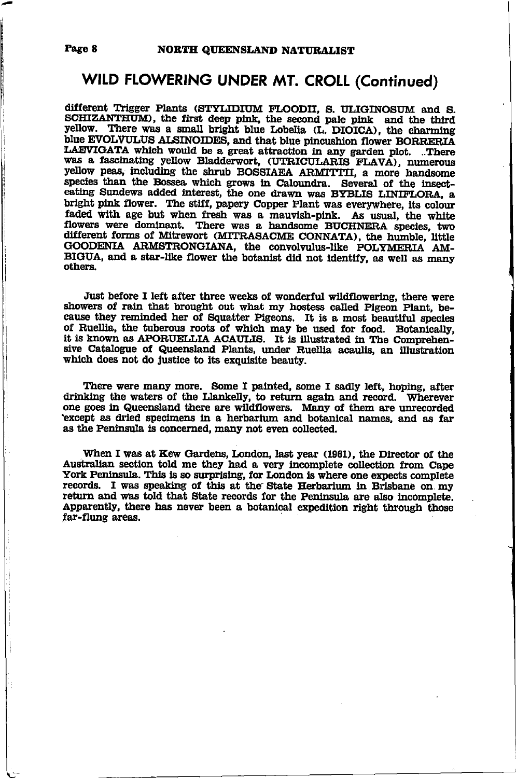### WILD FLOWERING UNDER MT. CROLL (Continued)

different Trigger Plants (STYLIDIUM FLOODII, S. ULIGINOSUM and S. SCHIZANTHUM), the first deep pink, the second pale pink and the third yellow. There was a small bright blue Lobelia (L. DIOICA), the charming blue EVOLVULUS ALSINOIDES, and that blue pincushion flower BORRERIA LAEVIGATA which would be a great attraction in any garden plot. ..There was a fascinating yellow Bladderwort, (UTRICULARIS FLAVA), numerous yellow peas, including the shrub BOSSIAEA ARMITTII, a more handsome species than the Bossea which grows in Caloundra. Several of the insecteating Sundews added interest, the one drawn was BYBLIS LINIFLORA, a bright pink flower. The stiff, papery Copper Plant was everywhere, its colour faded with age but when fresh was a mauvish-pink. As usual, the white flowers were dominant. There was a handsome BUCHNERA species, two different forms of Mitrewort (MITRASACME CONNATA), the humble, little GOODENIA ARMSTRONGIANA, the convolvulus-like POLYMERIA AM-BIGUA, and a star-like flower the botanist did not identify, as well as many others.

Just before I left after three weeks of wonderful wildflowering, there were showers of rain that brought out what my hostess called Pigeon Plant, because they reminded her of Squatter Pigeons. It is a most beautiful species of Ruellia, the tuberous roots of which may be used for food. Botanically, it is known as APORUELLIA ACAULIS. It is illustrated in The Comprehensive Catalogue of Queensland Plants, under Ruellia acaulis, an illustration which does not do justice to its exquisite beauty.

There were many more. Some I painted, some I sadly left, hoping, after drinking the waters of the Llankelly, to return again and record. Wherever one goes in Queensland there are wildflowers. Many of them are unrecorded except as dried specimens in a herbarium and botanical names, and as far as the Peninsula is concerned, many not even collected.

When I was at Kew Gardens, London, last year (1961), the Director of the Australian section told me they had a very incomplete collection from Cape York Peninsula. This is so surprising, for London is where one expects complete records. I was speaking of this at the State Herbarium in Brisbane on my return and was told that State records for the Peninsula are also incomplete. Apparently, there has never been a botanical expedition right through those far-flung areas.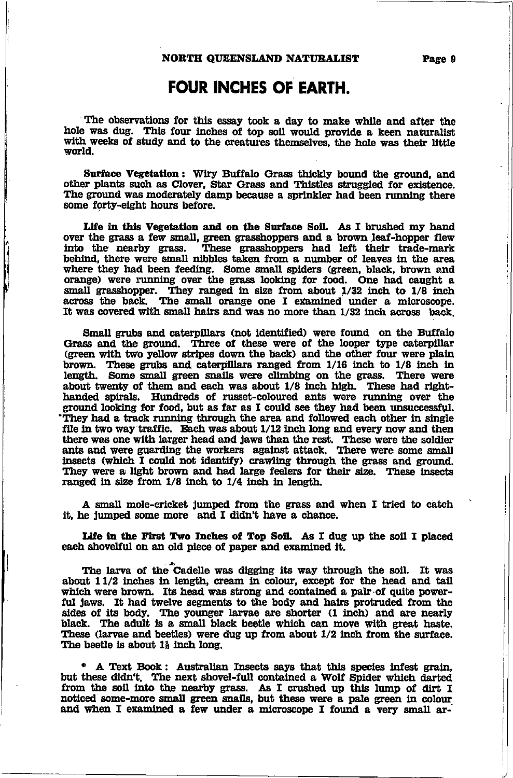### **FOUR INCHES OF EARTH.**

The observations for this essay took a day to make while and after the hole was dug. This four inches of top soil would provide a keen naturalist with weeks of study and to the creatures themselves, the hole was their little world.

Surface Vegetation: Wiry Buffalo Grass thickly bound the ground, and other plants such as Clover, Star Grass and Thistles struggled for existence. The ground was moderately damp because a sprinkler had been running there some forty-eight hours before.

Life in this Vegetation and on the Surface Soil. As I brushed my hand over the grass a few small, green grasshoppers and a brown leaf-hopper flew into the nearby grass. These grasshoppers had left their trade-mark behind, there were small nibbles taken from a number of leaves in the area where they had been feeding. Some small spiders (green, black, brown and orange) were running over the grass looking for food. One had caught a small grasshopper. They ranged in size from about 1/32 inch to 1/8 inch<br>across the back. The small orange one I examined under a microscope. It was covered with small hairs and was no more than 1/32 inch across back

Small grubs and caterpillars (not identified) were found on the Buffalo Grass and the ground. Three of these were of the looper type caterpillar (green with two yellow stripes down the back) and the other four were plain brown. These grubs and caterpillars ranged from 1/16 inch to 1/8 inch in length. Some small green snalls were climbing on the grass. There were about twenty of them and each was about 1/8 inch high. These had righthanded spirals. Hundreds of russet-coloured ants were running over the ground looking for food, but as far as I could see they had been unsuccessful. They had a track running through the area and followed each other in single file in two way traffic. Each was about 1/12 inch long and every now and then there was one with larger head and jaws than the rest. These were the soldier ants and were guarding the workers against attack. There were some small insects (which I could not identify) crawling through the grass and ground. They were a light brown and had large feelers for their size. These insects ranged in size from 1/8 inch to 1/4 inch in length.

A small mole-cricket jumped from the grass and when I tried to catch it, he jumped some more and I didn't have a chance.

Life in the First Two Inches of Top Soil. As I dug up the soil I placed each shovelful on an old piece of paper and examined it.

The larva of the Cadelle was digging its way through the soil. It was about 11/2 inches in length, cream in colour, except for the head and tail which were brown. Its head was strong and contained a pair of quite powerful jaws. It had twelve segments to the body and hairs protruded from the sides of its body. The younger larvae are shorter (1 inch) and are nearly black. The adult is a small black beetle which can move with great haste. These (larvae and beetles) were dug up from about 1/2 inch from the surface. The beetle is about 1} inch long.

\* A Text Book: Australian Insects says that this species infest grain. but these didn't. The next shovel-full contained a Wolf Spider which darted from the soil into the nearby grass. As I crushed up this lump of dirt I noticed some-more small green snails, but these were a pale green in colour and when I examined a few under a microscope I found a very small ar-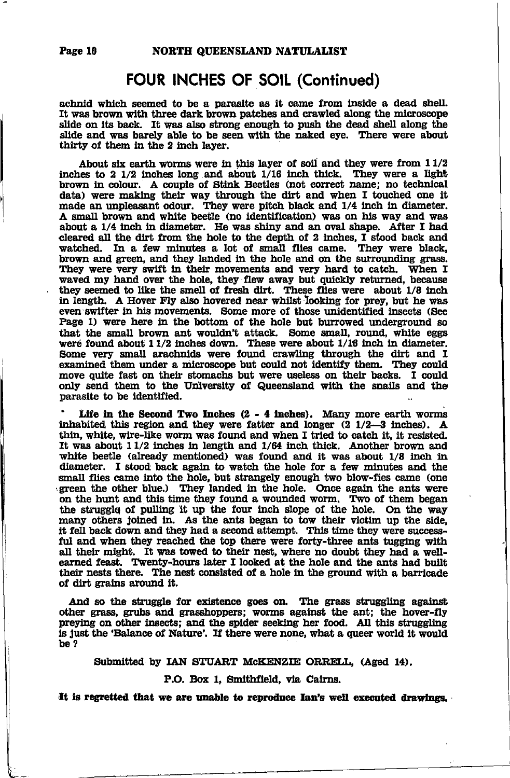### FOUR INCHES OF SOIL (Continued)

achnid which seemed to be a parasite as it came from inside a dead shell. It was brown with three dark brown patches and crawled along the microscope slide on its back. It was also strong enough to push the dead shell along the slide and was barely able to be seen with the naked eye. There were about thirty of them in the 2 inch layer.

About six earth worms were in this layer of soil and they were from  $11/2$ inches to 2  $1/2$  inches long and about  $1/16$  inch thick. They were a light brown in colour. A couple of Stink Beetles (not correct name; no technical data) were making their way through the dirt and when I touched one it made an unpleasant odour. They were pitch black and  $1/4$  inch in diameter. A small brown and white beetle (no identification) was on his way and was about a 1/4 inch in diameter. He was shiny and an oval shape. After I had cleared all the dirt from the hole to the depth of 2 inches, I stood back and watched. In a few minutes a lot of small flies came. They were black, brown and green, and they landed in the hole and on the surrounding grass. They were very swift in their movements and very hard to catch. When I waved my hand over the hole, they flew away but quickly returned, because they seemed to like the smell of fresh dirt. These flies were about 1/8 inch in length. A Hover Fly also hovered near whilst looking for prey, but he was even swifter in his movements. Some more of those unidentified insects (See Page 1) were here in the bottom of the hole but burrowed underground so that the small brown ant wouldn't attack. Some small, round, white eggs were found about 11/2 inches down. These were about 1/16 inch in diameter. Some very small arachnids were found crawling through the dirt and I examined them under a microscope but could not identify them. They could move quite fast on their stomachs but were useless on their backs. I could only send them to the University of Queensland with the snails and the parasite to be identified.

Life in the Second Two Inches  $(2 - 4$  inches). Many more earth worms inhabited this region and they were fatter and longer  $(2\ 1/2-3\ 1)$  inches). A thin, white, wire-like worm was found and when I tried to catch it, it resisted. It was about  $11/2$  inches in length and  $1/64$  inch thick. Another brown and white beetle (already mentioned) was found and it was about  $1/8$  inch in diameter. I stood back again to watch the hole for a few minutes and the small flies came into the hole, but strangely enough two blow-fies came (one green the other blue.) They landed in the hole. Once again the ants were on the hunt and this time they found a wounded worm. Two of them began the struggle of pulling it up the four inch slope of the hole. On the way many others joined in. As the ants began to tow their victim up the side, it fell back down and they had a second attempt. This time they were successful and when they reached the top there were forty-three ants tugging with all their might. It was towed to their nest, where no doubt they had a wellearned feast. Twenty-hours later I looked at the hole and the ants had built their nests there. The nest consisted of a hole in the ground with a barricade of dirt grains around it.

And so the struggle for existence goes on. The grass struggling against other grass, grubs and grasshoppers; worms against the ant; the hover-fly preying on other insects; and the spider seeking her food. All this struggling is just the 'Balance of Nature'. If there were none, what a queer world it would be?

Submitted by IAN STUART McKENZIE ORRELL, (Aged 14).

#### P.O. Box 1, Smithfield, via Cairns.

It is regretted that we are unable to reproduce Ian's well executed drawings.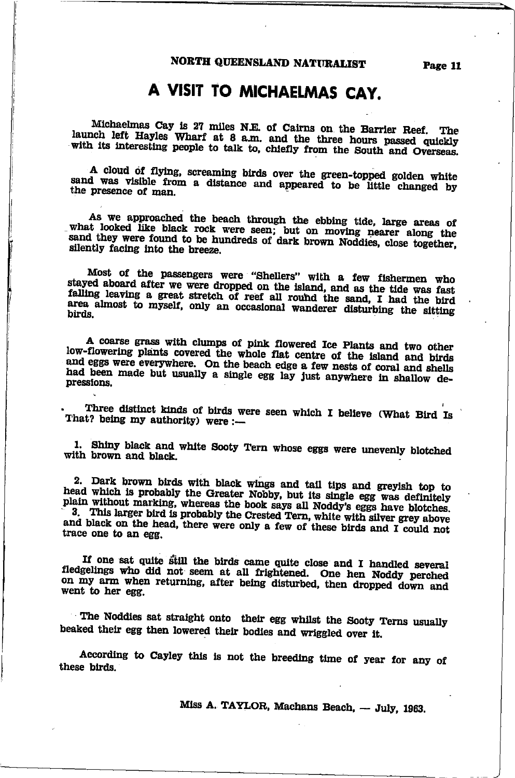# A VISIT TO MICHAELMAS CAY.

Michaelmas Cay is 27 miles N.E. of Cairns on the Barrier Reef. The launch left Hayles Wharf at 8 a.m. and the three hours passed quickly with its interesting people to talk to, chiefly from the South and Overseas.

A cloud of flying, screaming birds over the green-topped golden white sand was visible from a distance and appeared to be little changed by the presence of man.

As we approached the beach through the ebbing tide, large areas of what looked like black rock were seen; but on moving nearer along the sand they were found to be hundreds of dark brown Noddies, close together. silently facing into the breeze.

Most of the passengers were "Shellers" with a few fishermen who stayed aboard after we were dropped on the island, and as the tide was fast falling leaving a great stretch of reef all round the sand, I had the bird area almost to myself, only an occasional wanderer disturbing the sitting birds.

A coarse grass with clumps of pink flowered Ice Plants and two other low-flowering plants covered the whole flat centre of the island and birds and eggs were everywhere. On the beach edge a few nests of coral and shells had been made but usually a single egg lay just anywhere in shallow depressions.

Three distinct kinds of birds were seen which I believe (What Bird Is That? being my authority) were :-

1. Shiny black and white Sooty Tern whose eggs were unevenly blotched with brown and black.

2. Dark brown birds with black wings and tail tips and greyish top to head which is probably the Greater Nobby, but its single egg was definitely plain without marking, whereas the book says all Noddy's eggs have blotches. 3. This larger bird is probably the Crested Tern, white with silver grey above

and black on the head, there were only a few of these birds and I could not trace one to an egg.

If one sat quite still the birds came quite close and I handled several fledgelings who did not seem at all frightened. One hen Noddy perched on my arm when returning, after being disturbed, then dropped down and went to her egg.

The Noddies sat straight onto their egg whilst the Sooty Terns usually beaked their egg then lowered their bodies and wriggled over it.

According to Cayley this is not the breeding time of year for any of these birds.

Miss A. TAYLOR, Machans Beach, - July, 1963.